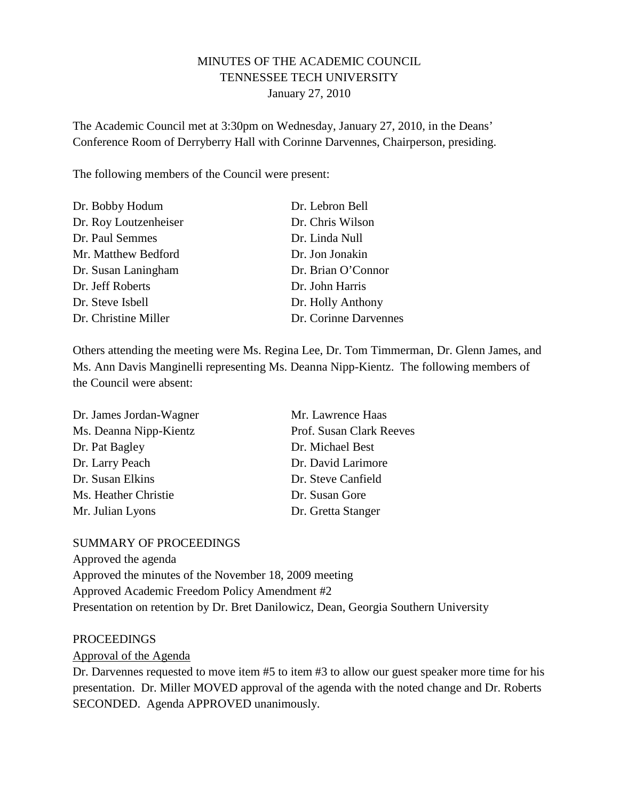# MINUTES OF THE ACADEMIC COUNCIL TENNESSEE TECH UNIVERSITY January 27, 2010

The Academic Council met at 3:30pm on Wednesday, January 27, 2010, in the Deans' Conference Room of Derryberry Hall with Corinne Darvennes, Chairperson, presiding.

The following members of the Council were present:

| Dr. Bobby Hodum       | Dr. Lebron Bell       |
|-----------------------|-----------------------|
| Dr. Roy Loutzenheiser | Dr. Chris Wilson      |
| Dr. Paul Semmes       | Dr. Linda Null        |
| Mr. Matthew Bedford   | Dr. Jon Jonakin       |
| Dr. Susan Laningham   | Dr. Brian O'Connor    |
| Dr. Jeff Roberts      | Dr. John Harris       |
| Dr. Steve Isbell      | Dr. Holly Anthony     |
| Dr. Christine Miller  | Dr. Corinne Darvennes |

Others attending the meeting were Ms. Regina Lee, Dr. Tom Timmerman, Dr. Glenn James, and Ms. Ann Davis Manginelli representing Ms. Deanna Nipp-Kientz. The following members of the Council were absent:

| Dr. James Jordan-Wagner | Mr. Lawrence Haas        |
|-------------------------|--------------------------|
| Ms. Deanna Nipp-Kientz  | Prof. Susan Clark Reeves |
| Dr. Pat Bagley          | Dr. Michael Best         |
| Dr. Larry Peach         | Dr. David Larimore       |
| Dr. Susan Elkins        | Dr. Steve Canfield       |
| Ms. Heather Christie    | Dr. Susan Gore           |
| Mr. Julian Lyons        | Dr. Gretta Stanger       |

## SUMMARY OF PROCEEDINGS

Approved the agenda Approved the minutes of the November 18, 2009 meeting Approved Academic Freedom Policy Amendment #2 Presentation on retention by Dr. Bret Danilowicz, Dean, Georgia Southern University

#### PROCEEDINGS

Approval of the Agenda

Dr. Darvennes requested to move item #5 to item #3 to allow our guest speaker more time for his presentation. Dr. Miller MOVED approval of the agenda with the noted change and Dr. Roberts SECONDED. Agenda APPROVED unanimously.